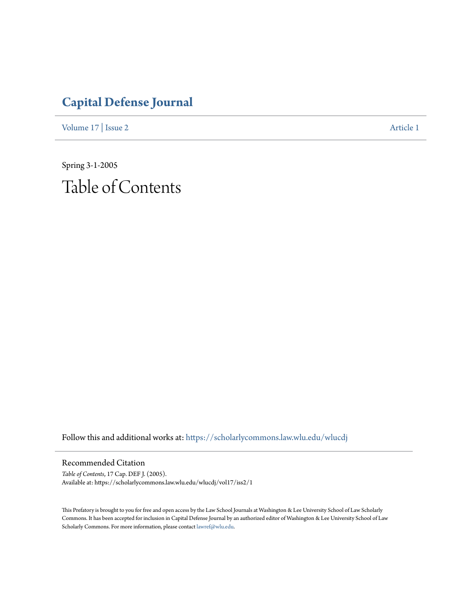## **[Capital Defense Journal](https://scholarlycommons.law.wlu.edu/wlucdj?utm_source=scholarlycommons.law.wlu.edu%2Fwlucdj%2Fvol17%2Fiss2%2F1&utm_medium=PDF&utm_campaign=PDFCoverPages)**

[Volume 17](https://scholarlycommons.law.wlu.edu/wlucdj/vol17?utm_source=scholarlycommons.law.wlu.edu%2Fwlucdj%2Fvol17%2Fiss2%2F1&utm_medium=PDF&utm_campaign=PDFCoverPages) | [Issue 2](https://scholarlycommons.law.wlu.edu/wlucdj/vol17/iss2?utm_source=scholarlycommons.law.wlu.edu%2Fwlucdj%2Fvol17%2Fiss2%2F1&utm_medium=PDF&utm_campaign=PDFCoverPages) [Article 1](https://scholarlycommons.law.wlu.edu/wlucdj/vol17/iss2/1?utm_source=scholarlycommons.law.wlu.edu%2Fwlucdj%2Fvol17%2Fiss2%2F1&utm_medium=PDF&utm_campaign=PDFCoverPages)

Spring 3-1-2005 Table of Contents

Follow this and additional works at: [https://scholarlycommons.law.wlu.edu/wlucdj](https://scholarlycommons.law.wlu.edu/wlucdj?utm_source=scholarlycommons.law.wlu.edu%2Fwlucdj%2Fvol17%2Fiss2%2F1&utm_medium=PDF&utm_campaign=PDFCoverPages)

Recommended Citation

*Table of Contents*, 17 Cap. DEF J. (2005). Available at: https://scholarlycommons.law.wlu.edu/wlucdj/vol17/iss2/1

This Prefatory is brought to you for free and open access by the Law School Journals at Washington & Lee University School of Law Scholarly Commons. It has been accepted for inclusion in Capital Defense Journal by an authorized editor of Washington & Lee University School of Law Scholarly Commons. For more information, please contact [lawref@wlu.edu.](mailto:lawref@wlu.edu)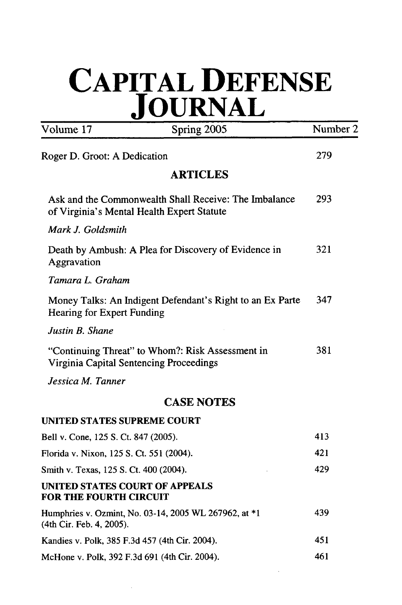## **CAPITAL DEFENSE JOURNAL**

| Volume 17                                                                                           | Spring 2005       | Number 2 |
|-----------------------------------------------------------------------------------------------------|-------------------|----------|
| Roger D. Groot: A Dedication                                                                        | 279               |          |
|                                                                                                     | <b>ARTICLES</b>   |          |
| Ask and the Commonwealth Shall Receive: The Imbalance<br>of Virginia's Mental Health Expert Statute |                   | 293      |
| Mark J. Goldsmith                                                                                   |                   |          |
| Death by Ambush: A Plea for Discovery of Evidence in<br>Aggravation                                 |                   | 321      |
| Tamara L. Graham                                                                                    |                   |          |
| Money Talks: An Indigent Defendant's Right to an Ex Parte<br><b>Hearing for Expert Funding</b>      |                   | 347      |
| Justin B. Shane                                                                                     |                   |          |
| "Continuing Threat" to Whom?: Risk Assessment in<br>Virginia Capital Sentencing Proceedings         |                   | 381      |
| Jessica M. Tanner                                                                                   |                   |          |
|                                                                                                     | <b>CASE NOTES</b> |          |
| UNITED STATES SUPREME COURT                                                                         |                   |          |
| Bell v. Cone, 125 S. Ct. 847 (2005).                                                                |                   | 413      |
| Florida v. Nixon, 125 S. Ct. 551 (2004).                                                            |                   | 421      |
| Smith v. Texas, 125 S. Ct. 400 (2004).                                                              |                   | 429      |
| <b>UNITED STATES COURT OF APPEALS</b><br><b>FOR THE FOURTH CIRCUIT</b>                              |                   |          |
| Humphries v. Ozmint, No. 03-14, 2005 WL 267962, at *1<br>(4th Cir. Feb. 4, 2005).                   |                   | 439      |
| Kandies v. Polk, 385 F.3d 457 (4th Cir. 2004).                                                      | 451               |          |
| McHone v. Polk, 392 F.3d 691 (4th Cir. 2004).                                                       | 461               |          |